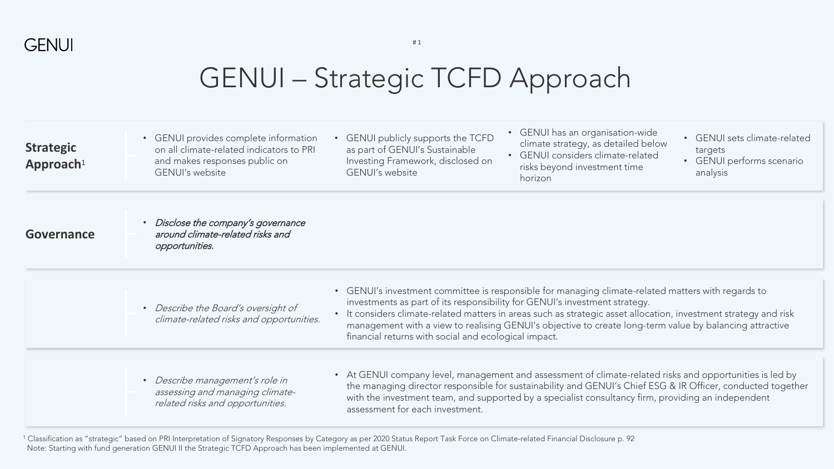

| <b>Strategic</b><br>Approach <sup>1</sup>                                                                                                 | • GENUI provides complete information<br>on all climate-related indicators to PRI<br>and makes responses public on<br><b>GENUI's website</b>                                                                                                                                                                                                                                                                                                                                                                                                               | • GENUI has an organisation-wide<br>GENUI publicly supports the TCFD<br>• GENUI sets climate-related<br>climate strategy, as detailed below<br>as part of GENUI's Sustainable<br>targets<br>• GENUI considers climate-related<br>Investing Framework, disclosed on<br>• GENUI performs scenario<br>risks beyond investment time<br>GENUI's website<br>analysis<br>horizon |
|-------------------------------------------------------------------------------------------------------------------------------------------|------------------------------------------------------------------------------------------------------------------------------------------------------------------------------------------------------------------------------------------------------------------------------------------------------------------------------------------------------------------------------------------------------------------------------------------------------------------------------------------------------------------------------------------------------------|---------------------------------------------------------------------------------------------------------------------------------------------------------------------------------------------------------------------------------------------------------------------------------------------------------------------------------------------------------------------------|
| Governance                                                                                                                                | • Disclose the company's governance<br>around climate-related risks and<br>opportunities.                                                                                                                                                                                                                                                                                                                                                                                                                                                                  |                                                                                                                                                                                                                                                                                                                                                                           |
|                                                                                                                                           | • GENUI's investment committee is responsible for managing climate-related matters with regards to<br>investments as part of its responsibility for GENUI's investment strategy.<br>• Describe the Board's oversight of<br>• It considers climate-related matters in areas such as strategic asset allocation, investment strategy and risk<br>climate-related risks and opportunities.<br>management with a view to realising GENUI's objective to create long-term value by balancing attractive<br>financial returns with social and ecological impact. |                                                                                                                                                                                                                                                                                                                                                                           |
| · Describe management's role in<br>assessing and managing climate-<br>related risks and opportunities.<br>assessment for each investment. |                                                                                                                                                                                                                                                                                                                                                                                                                                                                                                                                                            | • At GENUI company level, management and assessment of climate-related risks and opportunities is led by<br>the managing director responsible for sustainability and GENUI's Chief ESG & IR Officer, conducted together<br>with the investment team, and supported by a specialist consultancy firm, providing an independent                                             |

<sup>1</sup> Classification as "strategic" based on PRI Interpretation of Signatory Responses by Category as per 2020 Status Report Task Force on Climate-related Financial Disclosure p. 92 Note: Starting with fund generation GENUI II the Strategic TCFD Approach has been implemented at GENUI.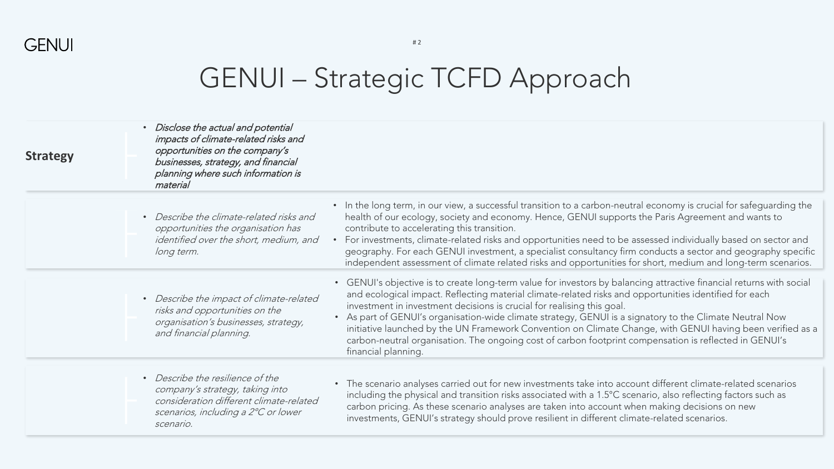| <b>Strategy</b> | Disclose the actual and potential<br>impacts of climate-related risks and<br>opportunities on the company's<br>businesses, strategy, and financial<br>planning where such information is<br>material |                                                                                                                                                                                                                                                                                                                                                                                                                                                                                                                                                                                                                                                                   |
|-----------------|------------------------------------------------------------------------------------------------------------------------------------------------------------------------------------------------------|-------------------------------------------------------------------------------------------------------------------------------------------------------------------------------------------------------------------------------------------------------------------------------------------------------------------------------------------------------------------------------------------------------------------------------------------------------------------------------------------------------------------------------------------------------------------------------------------------------------------------------------------------------------------|
|                 | Describe the climate-related risks and<br>$\bullet$<br>opportunities the organisation has<br>identified over the short, medium, and<br>long term.                                                    | • In the long term, in our view, a successful transition to a carbon-neutral economy is crucial for safeguarding the<br>health of our ecology, society and economy. Hence, GENUI supports the Paris Agreement and wants to<br>contribute to accelerating this transition.<br>For investments, climate-related risks and opportunities need to be assessed individually based on sector and<br>geography. For each GENUI investment, a specialist consultancy firm conducts a sector and geography specific<br>independent assessment of climate related risks and opportunities for short, medium and long-term scenarios.                                        |
|                 | Describe the impact of climate-related<br>$\bullet$<br>risks and opportunities on the<br>organisation's businesses, strategy,<br>and financial planning.                                             | • GENUI's objective is to create long-term value for investors by balancing attractive financial returns with social<br>and ecological impact. Reflecting material climate-related risks and opportunities identified for each<br>investment in investment decisions is crucial for realising this goal.<br>As part of GENUI's organisation-wide climate strategy, GENUI is a signatory to the Climate Neutral Now<br>initiative launched by the UN Framework Convention on Climate Change, with GENUI having been verified as a<br>carbon-neutral organisation. The ongoing cost of carbon footprint compensation is reflected in GENUI's<br>financial planning. |
|                 | • Describe the resilience of the<br>company's strategy, taking into<br>consideration different climate-related<br>scenarios, including a 2°C or lower<br>scenario.                                   | The scenario analyses carried out for new investments take into account different climate-related scenarios<br>$\bullet$<br>including the physical and transition risks associated with a 1.5°C scenario, also reflecting factors such as<br>carbon pricing. As these scenario analyses are taken into account when making decisions on new<br>investments, GENUI's strategy should prove resilient in different climate-related scenarios.                                                                                                                                                                                                                       |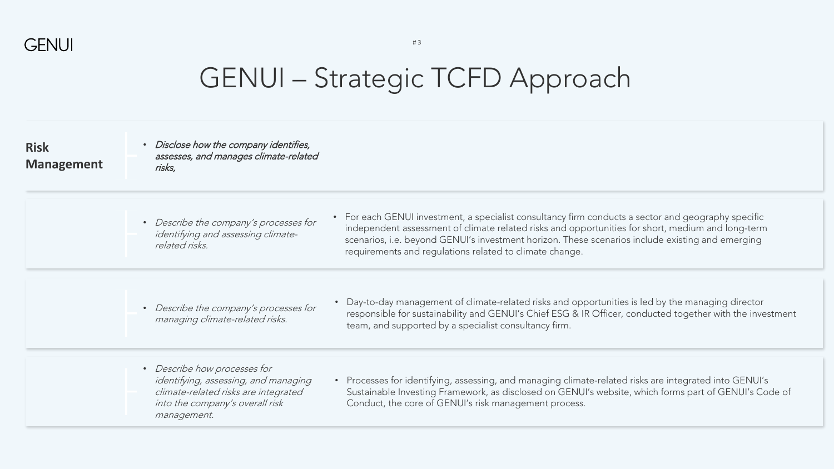

# 3

| <b>Risk</b><br><b>Management</b> | • Disclose how the company identifies,<br>assesses, and manages climate-related<br>risks,                                                                                                                               |                                                                                                                                                                                                                                                                                                              |
|----------------------------------|-------------------------------------------------------------------------------------------------------------------------------------------------------------------------------------------------------------------------|--------------------------------------------------------------------------------------------------------------------------------------------------------------------------------------------------------------------------------------------------------------------------------------------------------------|
|                                  | • Describe the company's processes for<br>identifying and assessing climate-<br>related risks.<br>requirements and regulations related to climate change.                                                               | • For each GENUI investment, a specialist consultancy firm conducts a sector and geography specific<br>independent assessment of climate related risks and opportunities for short, medium and long-term<br>scenarios, i.e. beyond GENUI's investment horizon. These scenarios include existing and emerging |
|                                  | • Describe the company's processes for<br>managing climate-related risks.<br>team, and supported by a specialist consultancy firm.                                                                                      | Day-to-day management of climate-related risks and opportunities is led by the managing director<br>responsible for sustainability and GENUI's Chief ESG & IR Officer, conducted together with the investment                                                                                                |
|                                  | • Describe how processes for<br>identifying, assessing, and managing<br>climate-related risks are integrated<br>Conduct, the core of GENUI's risk management process.<br>into the company's overall risk<br>management. | • Processes for identifying, assessing, and managing climate-related risks are integrated into GENUI's<br>Sustainable Investing Framework, as disclosed on GENUI's website, which forms part of GENUI's Code of                                                                                              |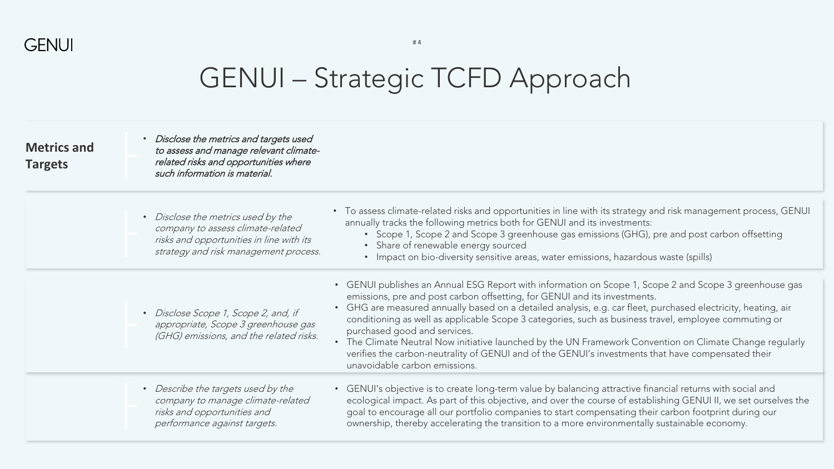

| <b>Metrics and</b><br><b>Targets</b> | • Disclose the metrics and targets used<br>to assess and manage relevant climate-<br>related risks and opportunities where<br>such information is material.  |                                                                                                                                                                                                                                                                                                                                                                                                                                                                                                                                                                                                                                                                                                  |
|--------------------------------------|--------------------------------------------------------------------------------------------------------------------------------------------------------------|--------------------------------------------------------------------------------------------------------------------------------------------------------------------------------------------------------------------------------------------------------------------------------------------------------------------------------------------------------------------------------------------------------------------------------------------------------------------------------------------------------------------------------------------------------------------------------------------------------------------------------------------------------------------------------------------------|
|                                      | • Disclose the metrics used by the<br>company to assess climate-related<br>risks and opportunities in line with its<br>strategy and risk management process. | • To assess climate-related risks and opportunities in line with its strategy and risk management process, GENUI<br>annually tracks the following metrics both for GENUI and its investments:<br>• Scope 1, Scope 2 and Scope 3 greenhouse gas emissions (GHG), pre and post carbon offsetting<br>• Share of renewable energy sourced<br>• Impact on bio-diversity sensitive areas, water emissions, hazardous waste (spills)                                                                                                                                                                                                                                                                    |
|                                      | • Disclose Scope 1, Scope 2, and, if<br>appropriate, Scope 3 greenhouse gas<br>(GHG) emissions, and the related risks.                                       | • GENUI publishes an Annual ESG Report with information on Scope 1, Scope 2 and Scope 3 greenhouse gas<br>emissions, pre and post carbon offsetting, for GENUI and its investments.<br>• GHG are measured annually based on a detailed analysis, e.g. car fleet, purchased electricity, heating, air<br>conditioning as well as applicable Scope 3 categories, such as business travel, employee commuting or<br>purchased good and services.<br>• The Climate Neutral Now initiative launched by the UN Framework Convention on Climate Change regularly<br>verifies the carbon-neutrality of GENUI and of the GENUI's investments that have compensated their<br>unavoidable carbon emissions. |
|                                      | • Describe the targets used by the<br>company to manage climate-related<br>risks and opportunities and<br>performance against targets.                       | • GENUI's objective is to create long-term value by balancing attractive financial returns with social and<br>ecological impact. As part of this objective, and over the course of establishing GENUI II, we set ourselves the<br>goal to encourage all our portfolio companies to start compensating their carbon footprint during our<br>ownership, thereby accelerating the transition to a more environmentally sustainable economy.                                                                                                                                                                                                                                                         |

# 4